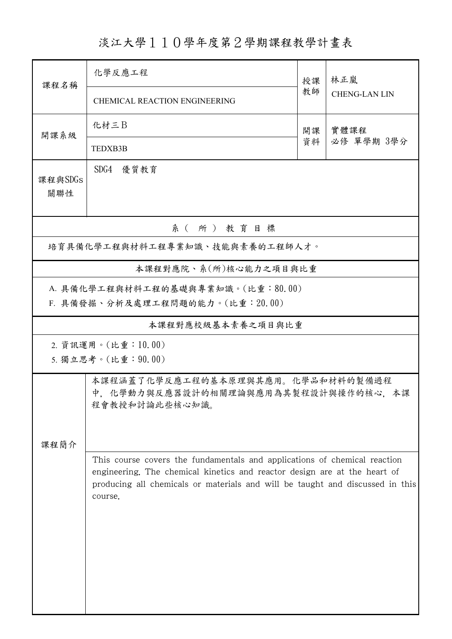淡江大學110學年度第2學期課程教學計畫表

| 課程名稱                                                                  | 化學反應工程<br>授課                                                                                                                                                                                                                                       |    | 林正嵐                  |  |  |  |
|-----------------------------------------------------------------------|----------------------------------------------------------------------------------------------------------------------------------------------------------------------------------------------------------------------------------------------------|----|----------------------|--|--|--|
|                                                                       | <b>CHEMICAL REACTION ENGINEERING</b>                                                                                                                                                                                                               | 教師 | <b>CHENG-LAN LIN</b> |  |  |  |
| 開課系級                                                                  | 化材三B                                                                                                                                                                                                                                               | 開課 | 實體課程<br>必修 單學期 3學分   |  |  |  |
|                                                                       | <b>TEDXB3B</b>                                                                                                                                                                                                                                     | 資料 |                      |  |  |  |
| 課程與SDGs<br>關聯性                                                        | SDG4 優質教育                                                                                                                                                                                                                                          |    |                      |  |  |  |
| 系(所)教育目標                                                              |                                                                                                                                                                                                                                                    |    |                      |  |  |  |
| 培育具備化學工程與材料工程專業知識、技能與素養的工程師人才。                                        |                                                                                                                                                                                                                                                    |    |                      |  |  |  |
|                                                                       | 本課程對應院、系(所)核心能力之項目與比重                                                                                                                                                                                                                              |    |                      |  |  |  |
| A. 具備化學工程與材料工程的基礎與專業知識。(比重:80.00)<br>F. 具備發掘、分析及處理工程問題的能力。(比重: 20.00) |                                                                                                                                                                                                                                                    |    |                      |  |  |  |
|                                                                       | 本課程對應校級基本素養之項目與比重                                                                                                                                                                                                                                  |    |                      |  |  |  |
|                                                                       | 2. 資訊運用。(比重:10.00)                                                                                                                                                                                                                                 |    |                      |  |  |  |
|                                                                       | 5. 獨立思考。(比重: 90.00)                                                                                                                                                                                                                                |    |                      |  |  |  |
|                                                                       | 本課程涵蓋了化學反應工程的基本原理與其應用。化學品和材料的製備過程<br>中,化學動力與反應器設計的相關理論與應用為其製程設計與操作的核心,本課<br>程會教授和討論此些核心知識。                                                                                                                                                         |    |                      |  |  |  |
| 課程簡介                                                                  |                                                                                                                                                                                                                                                    |    |                      |  |  |  |
|                                                                       | This course covers the fundamentals and applications of chemical reaction<br>engineering. The chemical kinetics and reactor design are at the heart of<br>producing all chemicals or materials and will be taught and discussed in this<br>course. |    |                      |  |  |  |
|                                                                       |                                                                                                                                                                                                                                                    |    |                      |  |  |  |
|                                                                       |                                                                                                                                                                                                                                                    |    |                      |  |  |  |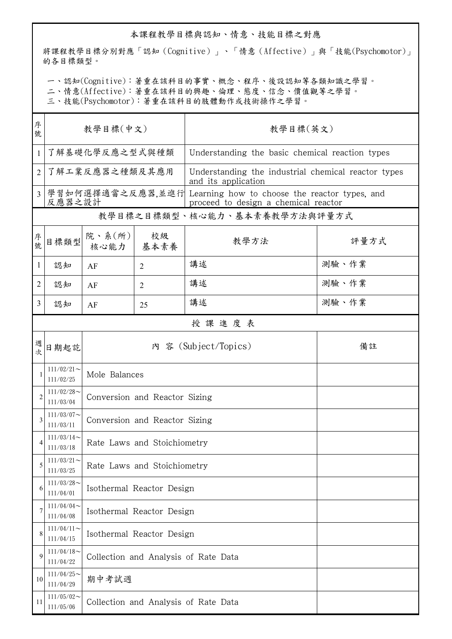## 本課程教學目標與認知、情意、技能目標之對應

將課程教學目標分別對應「認知(Cognitive)」、「情意(Affective)」與「技能(Psychomotor)」 的各目標類型。

一、認知(Cognitive):著重在該科目的事實、概念、程序、後設認知等各類知識之學習。

二、情意(Affective):著重在該科目的興趣、倫理、態度、信念、價值觀等之學習。

三、技能(Psychomotor):著重在該科目的肢體動作或技術操作之學習。

| 序<br>號         | 教學目標(中文)                   |                                      |                | 教學目標(英文)                                                                                               |       |  |  |  |
|----------------|----------------------------|--------------------------------------|----------------|--------------------------------------------------------------------------------------------------------|-------|--|--|--|
| 1              | 了解基礎化學反應之型式與種類             |                                      |                | Understanding the basic chemical reaction types                                                        |       |  |  |  |
| $\overline{2}$ | 了解工業反應器之種類及其應用             |                                      |                | Understanding the industrial chemical reactor types<br>and its application                             |       |  |  |  |
| $\overline{3}$ | 反應器之設計                     |                                      |                | 學習如何選擇適當之反應器,並進行 Learning how to choose the reactor types, and<br>proceed to design a chemical reactor |       |  |  |  |
|                |                            |                                      |                | 教學目標之目標類型、核心能力、基本素養教學方法與評量方式                                                                           |       |  |  |  |
| 序號             | 目標類型                       | 院、系 $(\text{m})$<br>核心能力 基本素養        | 校級             | 教學方法                                                                                                   | 評量方式  |  |  |  |
| $\mathbf{1}$   | 認知                         | AF                                   | $\overline{2}$ | 講述                                                                                                     | 測驗、作業 |  |  |  |
| $\overline{c}$ | 認知                         | AF                                   | $\overline{2}$ | 講述                                                                                                     | 測驗、作業 |  |  |  |
| 3              | 認知                         | AF                                   | 25             | 講述                                                                                                     | 測驗、作業 |  |  |  |
|                | 授課進度表                      |                                      |                |                                                                                                        |       |  |  |  |
| 週<br>次         | 日期起訖                       |                                      |                | 內 容 (Subject/Topics)                                                                                   | 備註    |  |  |  |
|                | $111/02/21$ ~<br>111/02/25 | Mole Balances                        |                |                                                                                                        |       |  |  |  |
| $\overline{2}$ | $111/02/28$ ~<br>111/03/04 | Conversion and Reactor Sizing        |                |                                                                                                        |       |  |  |  |
| 3              | $111/03/07$ ~<br>111/03/11 | Conversion and Reactor Sizing        |                |                                                                                                        |       |  |  |  |
| 4              | $111/03/14$ ~<br>111/03/18 | Rate Laws and Stoichiometry          |                |                                                                                                        |       |  |  |  |
| 5              | $111/03/21$ ~<br>111/03/25 | Rate Laws and Stoichiometry          |                |                                                                                                        |       |  |  |  |
| 6              | $111/03/28$ ~<br>111/04/01 | Isothermal Reactor Design            |                |                                                                                                        |       |  |  |  |
| 7              | $111/04/04$ ~<br>111/04/08 | Isothermal Reactor Design            |                |                                                                                                        |       |  |  |  |
| 8              | $111/04/11$ ~<br>111/04/15 | Isothermal Reactor Design            |                |                                                                                                        |       |  |  |  |
| 9              | $111/04/18$ ~<br>111/04/22 | Collection and Analysis of Rate Data |                |                                                                                                        |       |  |  |  |
| 10             | $111/04/25$ ~<br>111/04/29 | 期中考試週                                |                |                                                                                                        |       |  |  |  |
| 11             | $111/05/02$ ~<br>111/05/06 | Collection and Analysis of Rate Data |                |                                                                                                        |       |  |  |  |